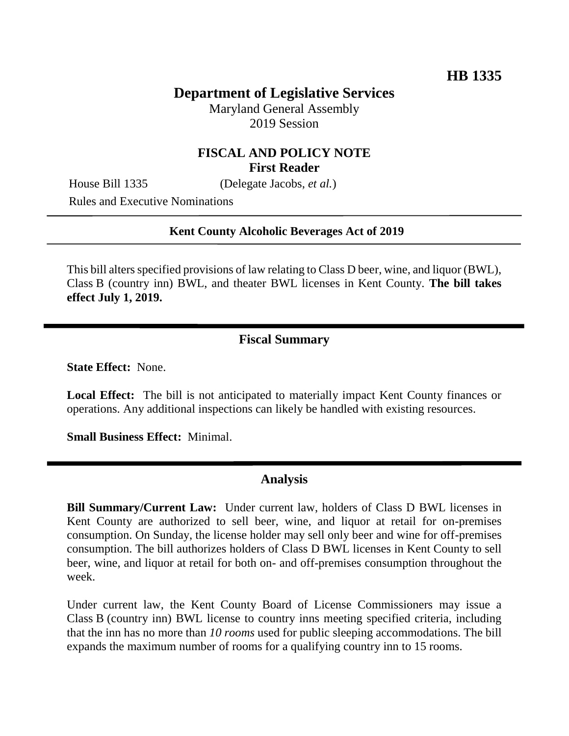# **Department of Legislative Services**

Maryland General Assembly 2019 Session

### **FISCAL AND POLICY NOTE First Reader**

House Bill 1335 (Delegate Jacobs, *et al.*)

Rules and Executive Nominations

#### **Kent County Alcoholic Beverages Act of 2019**

This bill alters specified provisions of law relating to Class D beer, wine, and liquor (BWL), Class B (country inn) BWL, and theater BWL licenses in Kent County. **The bill takes effect July 1, 2019.**

### **Fiscal Summary**

**State Effect:** None.

**Local Effect:** The bill is not anticipated to materially impact Kent County finances or operations. Any additional inspections can likely be handled with existing resources.

**Small Business Effect:** Minimal.

### **Analysis**

**Bill Summary/Current Law:** Under current law, holders of Class D BWL licenses in Kent County are authorized to sell beer, wine, and liquor at retail for on-premises consumption. On Sunday, the license holder may sell only beer and wine for off-premises consumption. The bill authorizes holders of Class D BWL licenses in Kent County to sell beer, wine, and liquor at retail for both on- and off-premises consumption throughout the week.

Under current law, the Kent County Board of License Commissioners may issue a Class B (country inn) BWL license to country inns meeting specified criteria, including that the inn has no more than *10 rooms* used for public sleeping accommodations. The bill expands the maximum number of rooms for a qualifying country inn to 15 rooms.